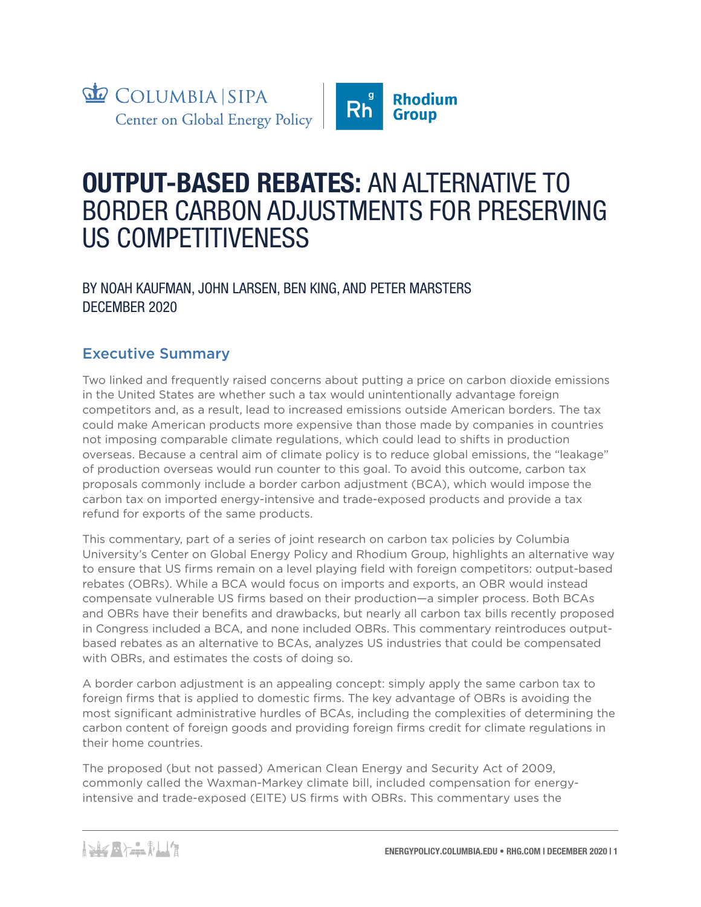

# **OUTPUT-BASED REBATES:** AN ALTERNATIVE TO BORDER CARBON ADJUSTMENTS FOR PRESERVING US COMPETITIVENESS

## BY NOAH KAUFMAN, JOHN LARSEN, BEN KING, AND PETER MARSTERS DECEMBER 2020

# Executive Summary

Two linked and frequently raised concerns about putting a price on carbon dioxide emissions in the United States are whether such a tax would unintentionally advantage foreign competitors and, as a result, lead to increased emissions outside American borders. The tax could make American products more expensive than those made by companies in countries not imposing comparable climate regulations, which could lead to shifts in production overseas. Because a central aim of climate policy is to reduce global emissions, the "leakage" of production overseas would run counter to this goal. To avoid this outcome, carbon tax proposals commonly include a border carbon adjustment (BCA), which would impose the carbon tax on imported energy-intensive and trade-exposed products and provide a tax refund for exports of the same products.

This commentary, part of a series of joint research on carbon tax policies by Columbia University's Center on Global Energy Policy and Rhodium Group, highlights an alternative way to ensure that US firms remain on a level playing field with foreign competitors: output-based rebates (OBRs). While a BCA would focus on imports and exports, an OBR would instead compensate vulnerable US firms based on their production—a simpler process. Both BCAs and OBRs have their benefits and drawbacks, but nearly all carbon tax bills recently proposed in Congress included a BCA, and none included OBRs. This commentary reintroduces outputbased rebates as an alternative to BCAs, analyzes US industries that could be compensated with OBRs, and estimates the costs of doing so.

A border carbon adjustment is an appealing concept: simply apply the same carbon tax to foreign firms that is applied to domestic firms. The key advantage of OBRs is avoiding the most significant administrative hurdles of BCAs, including the complexities of determining the carbon content of foreign goods and providing foreign firms credit for climate regulations in their home countries.

The proposed (but not passed) American Clean Energy and Security Act of 2009, commonly called the Waxman-Markey climate bill, included compensation for energyintensive and trade-exposed (EITE) US firms with OBRs. This commentary uses the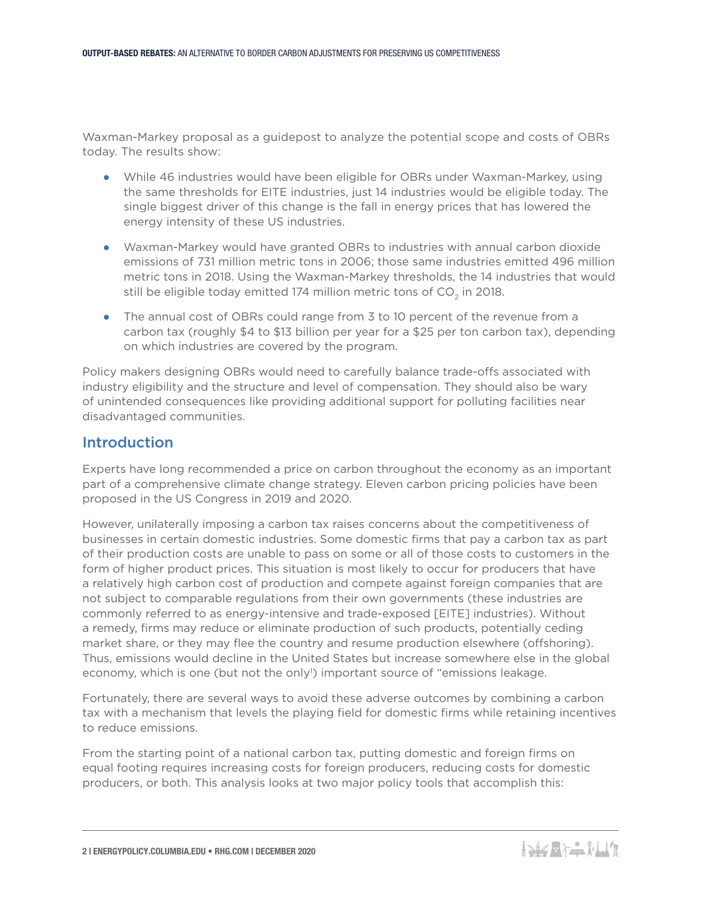Waxman-Markey proposal as a guidepost to analyze the potential scope and costs of OBRs today. The results show:

- While 46 industries would have been eligible for OBRs under Waxman-Markey, using the same thresholds for EITE industries, just 14 industries would be eligible today. The single biggest driver of this change is the fall in energy prices that has lowered the energy intensity of these US industries.
- Waxman-Markey would have granted OBRs to industries with annual carbon dioxide emissions of 731 million metric tons in 2006; those same industries emitted 496 million metric tons in 2018. Using the Waxman-Markey thresholds, the 14 industries that would still be eligible today emitted 174 million metric tons of  $CO<sub>2</sub>$  in 2018.
- The annual cost of OBRs could range from 3 to 10 percent of the revenue from a carbon tax (roughly \$4 to \$13 billion per year for a \$25 per ton carbon tax), depending on which industries are covered by the program.

Policy makers designing OBRs would need to carefully balance trade-offs associated with industry eligibility and the structure and level of compensation. They should also be wary of unintended consequences like providing additional support for polluting facilities near disadvantaged communities.

#### Introduction

Experts have long recommended a price on carbon throughout the economy as an important part of a comprehensive climate change strategy. Eleven carbon pricing policies have been proposed in the US Congress in 2019 and 2020.

However, unilaterally imposing a carbon tax raises concerns about the competitiveness of businesses in certain domestic industries. Some domestic firms that pay a carbon tax as part of their production costs are unable to pass on some or all of those costs to customers in the form of higher product prices. This situation is most likely to occur for producers that have a relatively high carbon cost of production and compete against foreign companies that are not subject to comparable regulations from their own governments (these industries are commonly referred to as energy-intensive and trade-exposed [EITE] industries). Without a remedy, firms may reduce or eliminate production of such products, potentially ceding market share, or they may flee the country and resume production elsewhere (offshoring). Thus, emissions would decline in the United States but increase somewhere else in the global economy, which is one (but not the only<sup>1</sup>) important source of "emissions leakage.

Fortunately, there are several ways to avoid these adverse outcomes by combining a carbon tax with a mechanism that levels the playing field for domestic firms while retaining incentives to reduce emissions.

From the starting point of a national carbon tax, putting domestic and foreign firms on equal footing requires increasing costs for foreign producers, reducing costs for domestic producers, or both. This analysis looks at two major policy tools that accomplish this: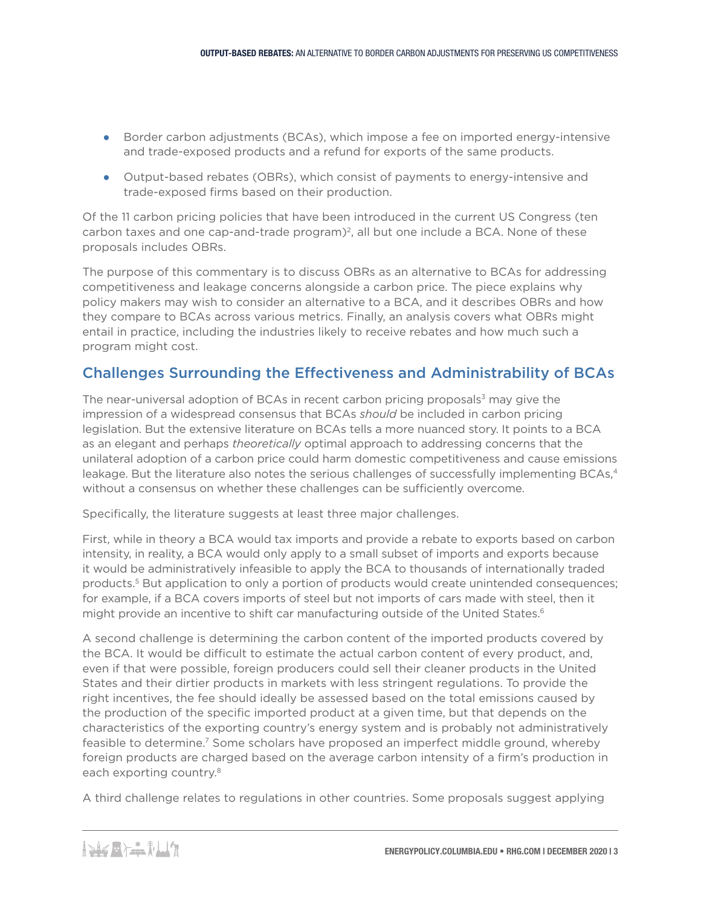- Border carbon adjustments (BCAs), which impose a fee on imported energy-intensive and trade-exposed products and a refund for exports of the same products.
- Output-based rebates (OBRs), which consist of payments to energy-intensive and trade-exposed firms based on their production.

Of the 11 carbon pricing policies that have been introduced in the current US Congress (ten carbon taxes and one cap-and-trade program $)^2$ , all but one include a BCA. None of these proposals includes OBRs.

The purpose of this commentary is to discuss OBRs as an alternative to BCAs for addressing competitiveness and leakage concerns alongside a carbon price. The piece explains why policy makers may wish to consider an alternative to a BCA, and it describes OBRs and how they compare to BCAs across various metrics. Finally, an analysis covers what OBRs might entail in practice, including the industries likely to receive rebates and how much such a program might cost.

## Challenges Surrounding the Effectiveness and Administrability of BCAs

The near-universal adoption of BCAs in recent carbon pricing proposals $3$  may give the impression of a widespread consensus that BCAs *should* be included in carbon pricing legislation. But the extensive literature on BCAs tells a more nuanced story. It points to a BCA as an elegant and perhaps *theoretically* optimal approach to addressing concerns that the unilateral adoption of a carbon price could harm domestic competitiveness and cause emissions leakage. But the literature also notes the serious challenges of successfully implementing BCAs,<sup>4</sup> without a consensus on whether these challenges can be sufficiently overcome.

Specifically, the literature suggests at least three major challenges.

First, while in theory a BCA would tax imports and provide a rebate to exports based on carbon intensity, in reality, a BCA would only apply to a small subset of imports and exports because it would be administratively infeasible to apply the BCA to thousands of internationally traded products.<sup>5</sup> But application to only a portion of products would create unintended consequences; for example, if a BCA covers imports of steel but not imports of cars made with steel, then it might provide an incentive to shift car manufacturing outside of the United States.<sup>6</sup>

A second challenge is determining the carbon content of the imported products covered by the BCA. It would be difficult to estimate the actual carbon content of every product, and, even if that were possible, foreign producers could sell their cleaner products in the United States and their dirtier products in markets with less stringent regulations. To provide the right incentives, the fee should ideally be assessed based on the total emissions caused by the production of the specific imported product at a given time, but that depends on the characteristics of the exporting country's energy system and is probably not administratively feasible to determine.<sup>7</sup> Some scholars have proposed an imperfect middle ground, whereby foreign products are charged based on the average carbon intensity of a firm's production in each exporting country.<sup>8</sup>

A third challenge relates to regulations in other countries. Some proposals suggest applying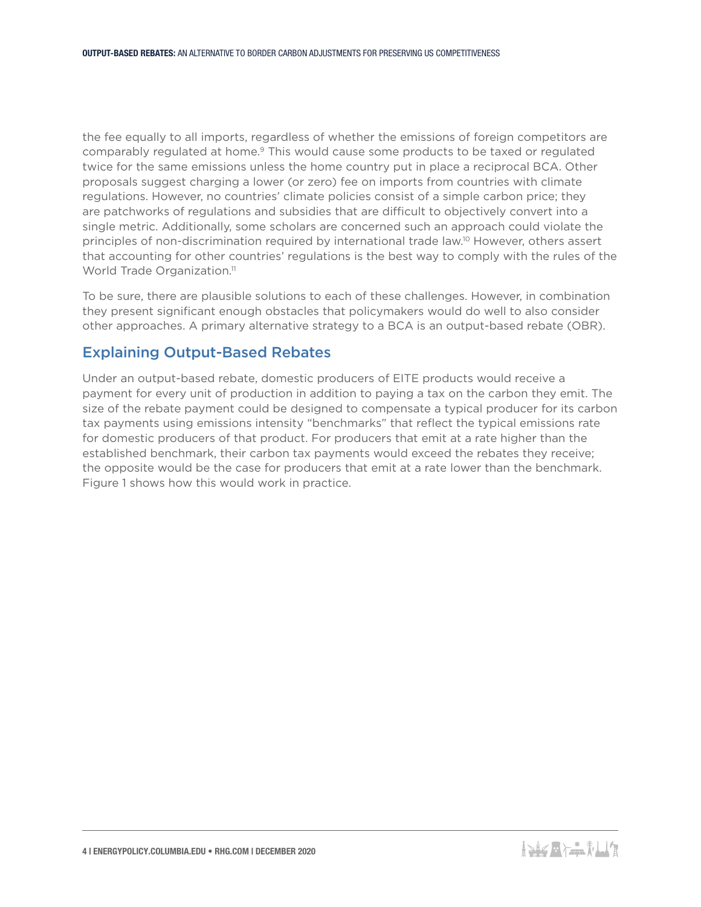the fee equally to all imports, regardless of whether the emissions of foreign competitors are comparably regulated at home.9 This would cause some products to be taxed or regulated twice for the same emissions unless the home country put in place a reciprocal BCA. Other proposals suggest charging a lower (or zero) fee on imports from countries with climate regulations. However, no countries' climate policies consist of a simple carbon price; they are patchworks of regulations and subsidies that are difficult to objectively convert into a single metric. Additionally, some scholars are concerned such an approach could violate the principles of non-discrimination required by international trade law.10 However, others assert that accounting for other countries' regulations is the best way to comply with the rules of the World Trade Organization.<sup>11</sup>

To be sure, there are plausible solutions to each of these challenges. However, in combination they present significant enough obstacles that policymakers would do well to also consider other approaches. A primary alternative strategy to a BCA is an output-based rebate (OBR).

## Explaining Output-Based Rebates

Under an output-based rebate, domestic producers of EITE products would receive a payment for every unit of production in addition to paying a tax on the carbon they emit. The size of the rebate payment could be designed to compensate a typical producer for its carbon tax payments using emissions intensity "benchmarks" that reflect the typical emissions rate for domestic producers of that product. For producers that emit at a rate higher than the established benchmark, their carbon tax payments would exceed the rebates they receive; the opposite would be the case for producers that emit at a rate lower than the benchmark. Figure 1 shows how this would work in practice.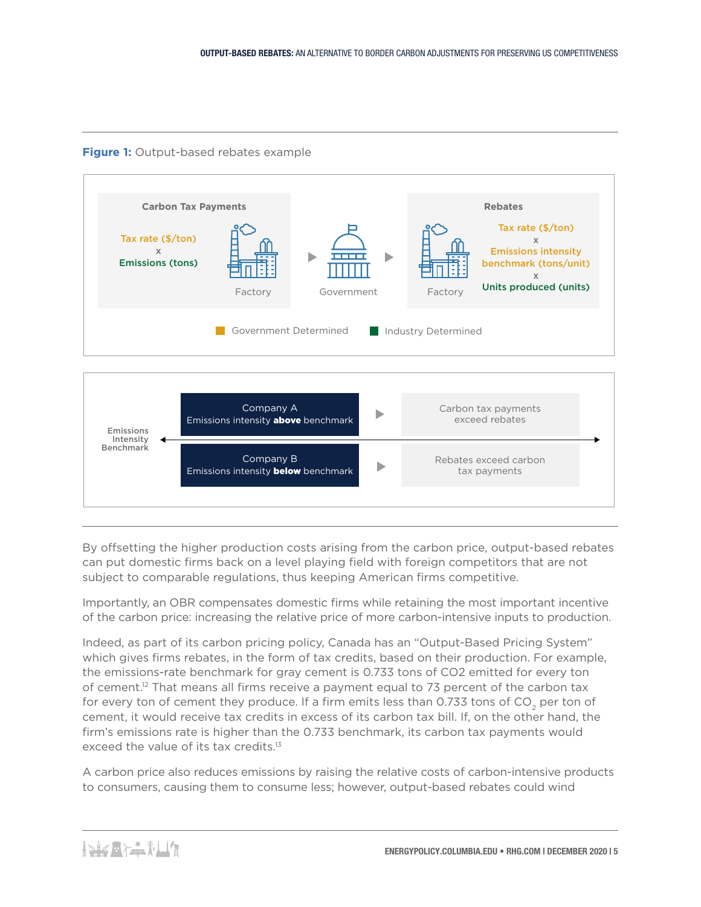**Figure 1:** Output-based rebates example



By offsetting the higher production costs arising from the carbon price, output-based rebates can put domestic firms back on a level playing field with foreign competitors that are not subject to comparable regulations, thus keeping American firms competitive.

Importantly, an OBR compensates domestic firms while retaining the most important incentive of the carbon price: increasing the relative price of more carbon-intensive inputs to production.

Indeed, as part of its carbon pricing policy, Canada has an "Output-Based Pricing System" which gives firms rebates, in the form of tax credits, based on their production. For example, the emissions-rate benchmark for gray cement is 0.733 tons of CO2 emitted for every ton of cement.12 That means all firms receive a payment equal to 73 percent of the carbon tax for every ton of cement they produce. If a firm emits less than 0.733 tons of  $CO<sub>2</sub>$  per ton of cement, it would receive tax credits in excess of its carbon tax bill. If, on the other hand, the firm's emissions rate is higher than the 0.733 benchmark, its carbon tax payments would exceed the value of its tax credits.<sup>13</sup>

A carbon price also reduces emissions by raising the relative costs of carbon-intensive products to consumers, causing them to consume less; however, output-based rebates could wind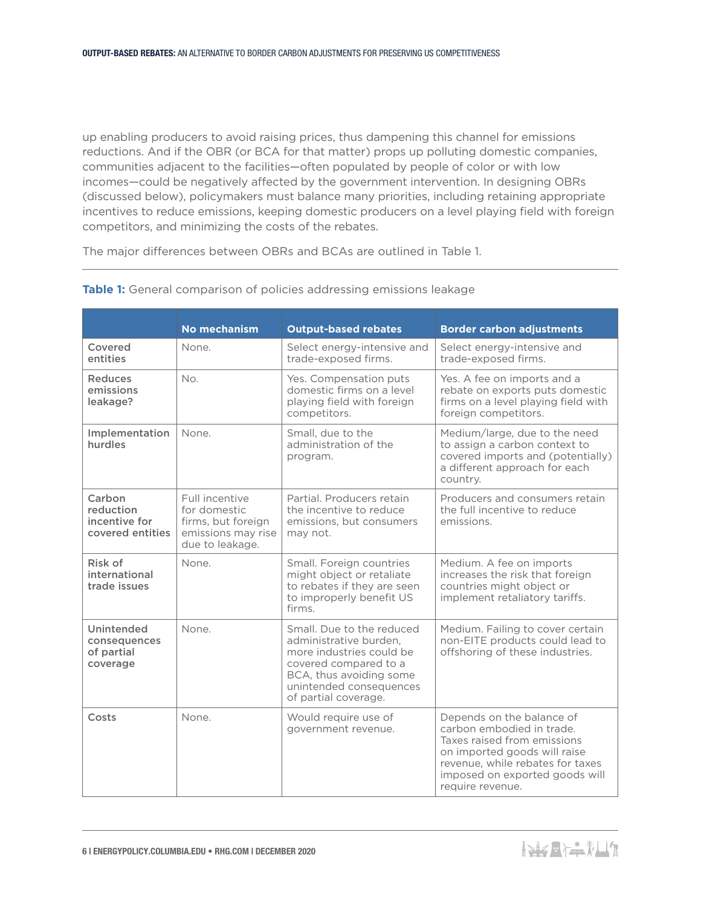up enabling producers to avoid raising prices, thus dampening this channel for emissions reductions. And if the OBR (or BCA for that matter) props up polluting domestic companies, communities adjacent to the facilities—often populated by people of color or with low incomes—could be negatively affected by the government intervention. In designing OBRs (discussed below), policymakers must balance many priorities, including retaining appropriate incentives to reduce emissions, keeping domestic producers on a level playing field with foreign competitors, and minimizing the costs of the rebates.

The major differences between OBRs and BCAs are outlined in Table 1.

|                                                          | No mechanism                                                                                  | <b>Output-based rebates</b>                                                                                                                                                            | <b>Border carbon adjustments</b>                                                                                                                                                                                |
|----------------------------------------------------------|-----------------------------------------------------------------------------------------------|----------------------------------------------------------------------------------------------------------------------------------------------------------------------------------------|-----------------------------------------------------------------------------------------------------------------------------------------------------------------------------------------------------------------|
| Covered<br>entities                                      | None.                                                                                         | Select energy-intensive and<br>trade-exposed firms.                                                                                                                                    | Select energy-intensive and<br>trade-exposed firms.                                                                                                                                                             |
| <b>Reduces</b><br>emissions<br>leakage?                  | No.                                                                                           | Yes. Compensation puts<br>domestic firms on a level<br>playing field with foreign<br>competitors.                                                                                      | Yes. A fee on imports and a<br>rebate on exports puts domestic<br>firms on a level playing field with<br>foreign competitors.                                                                                   |
| Implementation<br>hurdles                                | None.                                                                                         | Small, due to the<br>administration of the<br>program.                                                                                                                                 | Medium/large, due to the need<br>to assign a carbon context to<br>covered imports and (potentially)<br>a different approach for each<br>country.                                                                |
| Carbon<br>reduction<br>incentive for<br>covered entities | Full incentive<br>for domestic<br>firms, but foreign<br>emissions may rise<br>due to leakage. | Partial. Producers retain<br>the incentive to reduce<br>emissions, but consumers<br>may not.                                                                                           | Producers and consumers retain<br>the full incentive to reduce<br>emissions.                                                                                                                                    |
| Risk of<br>international<br>trade issues                 | None.                                                                                         | Small. Foreign countries<br>might object or retaliate<br>to rebates if they are seen<br>to improperly benefit US<br>firms.                                                             | Medium. A fee on imports<br>increases the risk that foreign<br>countries might object or<br>implement retaliatory tariffs.                                                                                      |
| Unintended<br>consequences<br>of partial<br>coverage     | None.                                                                                         | Small. Due to the reduced<br>administrative burden.<br>more industries could be<br>covered compared to a<br>BCA, thus avoiding some<br>unintended consequences<br>of partial coverage. | Medium. Failing to cover certain<br>non-EITE products could lead to<br>offshoring of these industries.                                                                                                          |
| Costs                                                    | None.                                                                                         | Would require use of<br>government revenue.                                                                                                                                            | Depends on the balance of<br>carbon embodied in trade.<br>Taxes raised from emissions<br>on imported goods will raise<br>revenue, while rebates for taxes<br>imposed on exported goods will<br>require revenue. |

#### **Table 1:** General comparison of policies addressing emissions leakage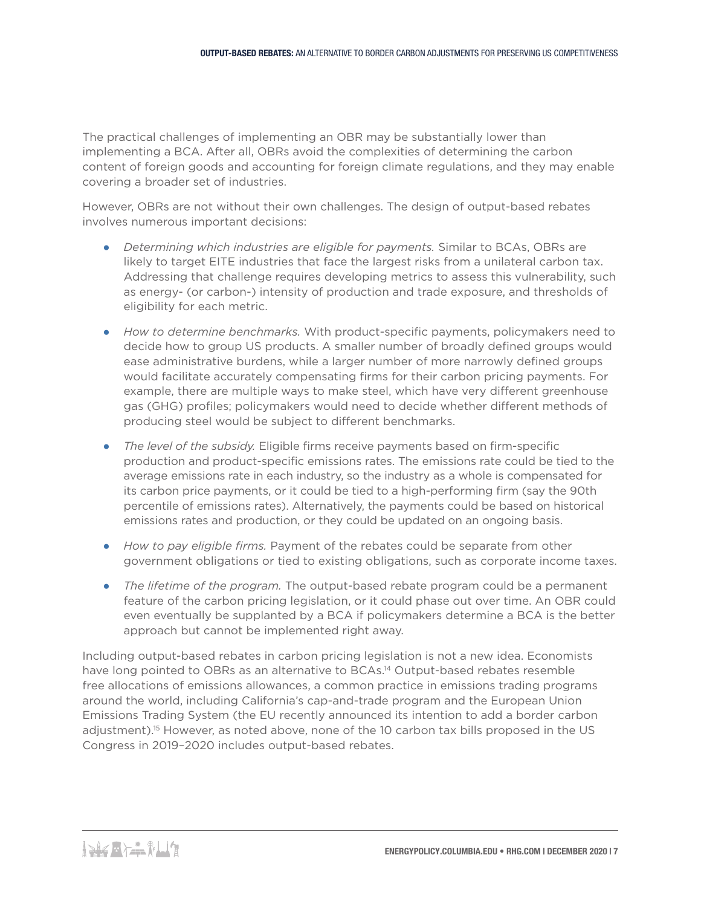The practical challenges of implementing an OBR may be substantially lower than implementing a BCA. After all, OBRs avoid the complexities of determining the carbon content of foreign goods and accounting for foreign climate regulations, and they may enable covering a broader set of industries.

However, OBRs are not without their own challenges. The design of output-based rebates involves numerous important decisions:

- *Determining which industries are eligible for payments.* Similar to BCAs, OBRs are likely to target EITE industries that face the largest risks from a unilateral carbon tax. Addressing that challenge requires developing metrics to assess this vulnerability, such as energy- (or carbon-) intensity of production and trade exposure, and thresholds of eligibility for each metric.
- *How to determine benchmarks.* With product-specific payments, policymakers need to decide how to group US products. A smaller number of broadly defined groups would ease administrative burdens, while a larger number of more narrowly defined groups would facilitate accurately compensating firms for their carbon pricing payments. For example, there are multiple ways to make steel, which have very different greenhouse gas (GHG) profiles; policymakers would need to decide whether different methods of producing steel would be subject to different benchmarks.
- *The level of the subsidy.* Eligible firms receive payments based on firm-specific production and product-specific emissions rates. The emissions rate could be tied to the average emissions rate in each industry, so the industry as a whole is compensated for its carbon price payments, or it could be tied to a high-performing firm (say the 90th percentile of emissions rates). Alternatively, the payments could be based on historical emissions rates and production, or they could be updated on an ongoing basis.
- *How to pay eligible firms.* Payment of the rebates could be separate from other government obligations or tied to existing obligations, such as corporate income taxes.
- *The lifetime of the program.* The output-based rebate program could be a permanent feature of the carbon pricing legislation, or it could phase out over time. An OBR could even eventually be supplanted by a BCA if policymakers determine a BCA is the better approach but cannot be implemented right away.

Including output-based rebates in carbon pricing legislation is not a new idea. Economists have long pointed to OBRs as an alternative to BCAs.<sup>14</sup> Output-based rebates resemble free allocations of emissions allowances, a common practice in emissions trading programs around the world, including California's cap-and-trade program and the European Union Emissions Trading System (the EU recently announced its intention to add a border carbon adjustment).<sup>15</sup> However, as noted above, none of the 10 carbon tax bills proposed in the US Congress in 2019–2020 includes output-based rebates.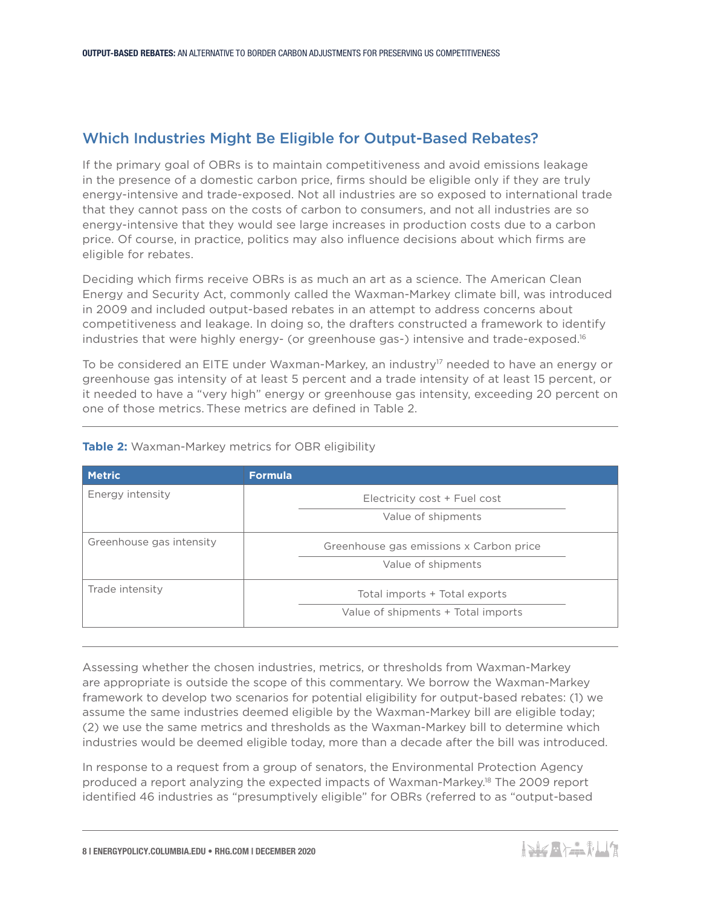## Which Industries Might Be Eligible for Output-Based Rebates?

If the primary goal of OBRs is to maintain competitiveness and avoid emissions leakage in the presence of a domestic carbon price, firms should be eligible only if they are truly energy-intensive and trade-exposed. Not all industries are so exposed to international trade that they cannot pass on the costs of carbon to consumers, and not all industries are so energy-intensive that they would see large increases in production costs due to a carbon price. Of course, in practice, politics may also influence decisions about which firms are eligible for rebates.

Deciding which firms receive OBRs is as much an art as a science. The American Clean Energy and Security Act, commonly called the Waxman-Markey climate bill, was introduced in 2009 and included output-based rebates in an attempt to address concerns about competitiveness and leakage. In doing so, the drafters constructed a framework to identify industries that were highly energy- (or greenhouse gas-) intensive and trade-exposed.<sup>16</sup>

To be considered an EITE under Waxman-Markey, an industry<sup>17</sup> needed to have an energy or greenhouse gas intensity of at least 5 percent and a trade intensity of at least 15 percent, or it needed to have a "very high" energy or greenhouse gas intensity, exceeding 20 percent on one of those metrics. These metrics are defined in Table 2.

| <b>Metric</b>            | <b>Formula</b>                          |  |
|--------------------------|-----------------------------------------|--|
| Energy intensity         | Electricity cost + Fuel cost            |  |
|                          | Value of shipments                      |  |
| Greenhouse gas intensity | Greenhouse gas emissions x Carbon price |  |
|                          | Value of shipments                      |  |
| Trade intensity          | Total imports + Total exports           |  |
|                          | Value of shipments + Total imports      |  |

#### **Table 2:** Waxman-Markey metrics for OBR eligibility

Assessing whether the chosen industries, metrics, or thresholds from Waxman-Markey are appropriate is outside the scope of this commentary. We borrow the Waxman-Markey framework to develop two scenarios for potential eligibility for output-based rebates: (1) we assume the same industries deemed eligible by the Waxman-Markey bill are eligible today; (2) we use the same metrics and thresholds as the Waxman-Markey bill to determine which industries would be deemed eligible today, more than a decade after the bill was introduced.

In response to a request from a group of senators, the Environmental Protection Agency produced a report analyzing the expected impacts of Waxman-Markey.18 The 2009 report identified 46 industries as "presumptively eligible" for OBRs (referred to as "output-based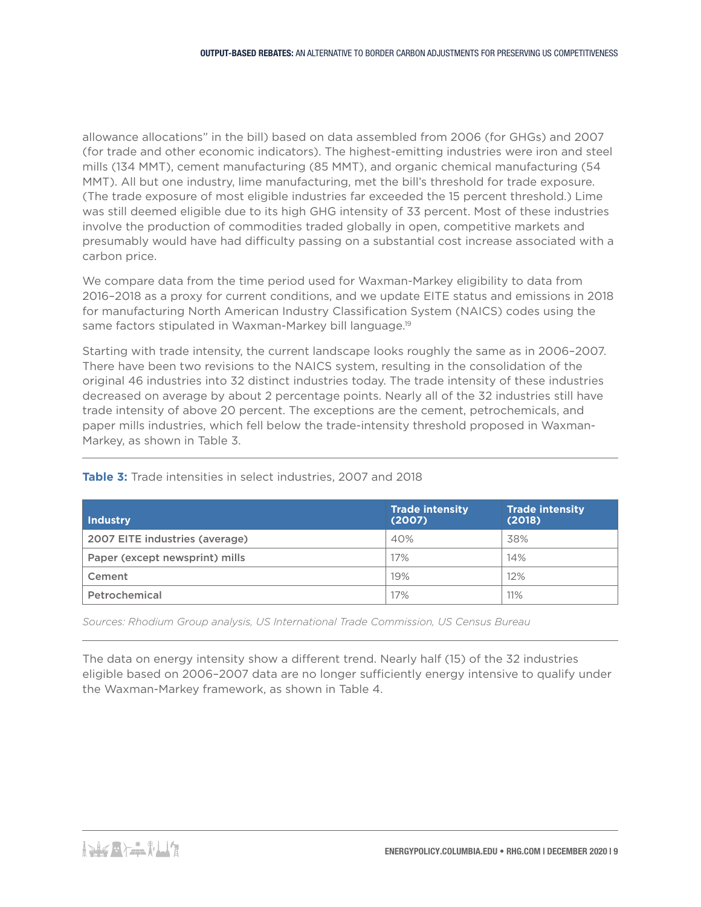allowance allocations" in the bill) based on data assembled from 2006 (for GHGs) and 2007 (for trade and other economic indicators). The highest-emitting industries were iron and steel mills (134 MMT), cement manufacturing (85 MMT), and organic chemical manufacturing (54 MMT). All but one industry, lime manufacturing, met the bill's threshold for trade exposure. (The trade exposure of most eligible industries far exceeded the 15 percent threshold.) Lime was still deemed eligible due to its high GHG intensity of 33 percent. Most of these industries involve the production of commodities traded globally in open, competitive markets and presumably would have had difficulty passing on a substantial cost increase associated with a carbon price.

We compare data from the time period used for Waxman-Markey eligibility to data from 2016–2018 as a proxy for current conditions, and we update EITE status and emissions in 2018 for manufacturing North American Industry Classification System (NAICS) codes using the same factors stipulated in Waxman-Markey bill language.<sup>19</sup>

Starting with trade intensity, the current landscape looks roughly the same as in 2006–2007. There have been two revisions to the NAICS system, resulting in the consolidation of the original 46 industries into 32 distinct industries today. The trade intensity of these industries decreased on average by about 2 percentage points. Nearly all of the 32 industries still have trade intensity of above 20 percent. The exceptions are the cement, petrochemicals, and paper mills industries, which fell below the trade-intensity threshold proposed in Waxman-Markey, as shown in Table 3.

| Industry                       | <b>Trade intensity</b><br>(2007) | <b>Trade intensity</b><br>(2018) |
|--------------------------------|----------------------------------|----------------------------------|
| 2007 EITE industries (average) | 40%                              | 38%                              |
| Paper (except newsprint) mills | 17%                              | 14%                              |
| Cement                         | 19%                              | 12%                              |
| Petrochemical                  | 17%                              | 11%                              |

**Table 3:** Trade intensities in select industries, 2007 and 2018

*Sources: Rhodium Group analysis, US International Trade Commission, US Census Bureau*

The data on energy intensity show a different trend. Nearly half (15) of the 32 industries eligible based on 2006–2007 data are no longer sufficiently energy intensive to qualify under the Waxman-Markey framework, as shown in Table 4.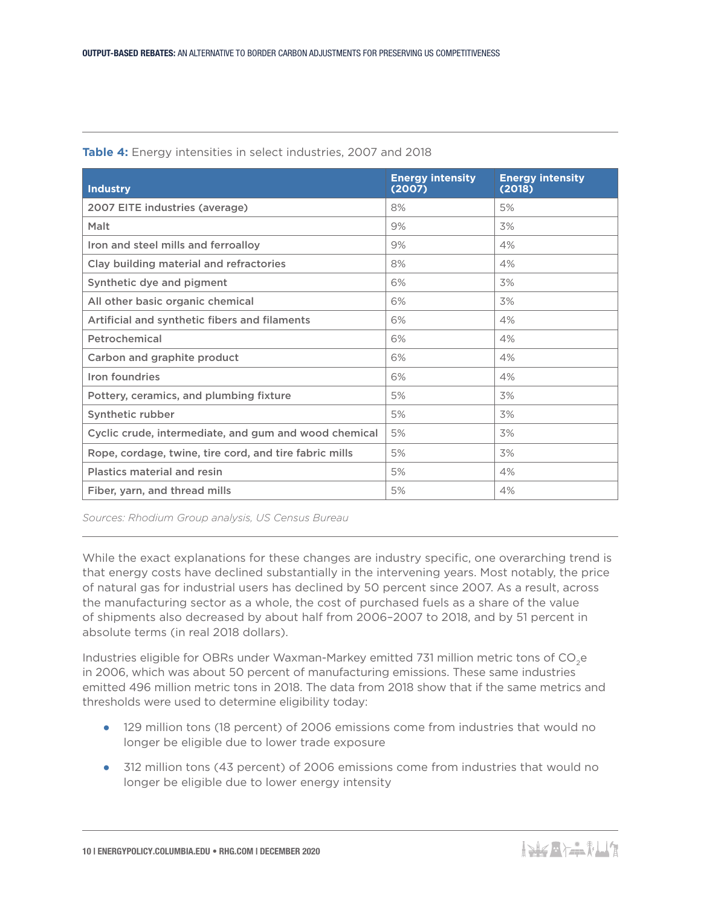| <b>Industry</b>                                        | <b>Energy intensity</b><br>(2007) | <b>Energy intensity</b><br>(2018) |
|--------------------------------------------------------|-----------------------------------|-----------------------------------|
| 2007 EITE industries (average)                         | 8%                                | 5%                                |
| Malt                                                   | 9%                                | 3%                                |
| Iron and steel mills and ferroalloy                    | 9%                                | 4%                                |
| Clay building material and refractories                | 8%                                | 4%                                |
| Synthetic dye and pigment                              | 6%                                | 3%                                |
| All other basic organic chemical                       | 6%                                | 3%                                |
| Artificial and synthetic fibers and filaments          | 6%                                | 4%                                |
| Petrochemical                                          | 6%                                | 4%                                |
| Carbon and graphite product                            | 6%                                | 4%                                |
| Iron foundries                                         | 6%                                | 4%                                |
| Pottery, ceramics, and plumbing fixture                | 5%                                | 3%                                |
| Synthetic rubber                                       | 5%                                | 3%                                |
| Cyclic crude, intermediate, and gum and wood chemical  | 5%                                | 3%                                |
| Rope, cordage, twine, tire cord, and tire fabric mills | 5%                                | 3%                                |
| <b>Plastics material and resin</b>                     | 5%                                | 4%                                |
| Fiber, yarn, and thread mills                          | 5%                                | 4%                                |

**Table 4:** Energy intensities in select industries, 2007 and 2018

*Sources: Rhodium Group analysis, US Census Bureau*

While the exact explanations for these changes are industry specific, one overarching trend is that energy costs have declined substantially in the intervening years. Most notably, the price of natural gas for industrial users has declined by 50 percent since 2007. As a result, across the manufacturing sector as a whole, the cost of purchased fuels as a share of the value of shipments also decreased by about half from 2006–2007 to 2018, and by 51 percent in absolute terms (in real 2018 dollars).

Industries eligible for OBRs under Waxman-Markey emitted 731 million metric tons of CO<sub>2</sub>e in 2006, which was about 50 percent of manufacturing emissions. These same industries emitted 496 million metric tons in 2018. The data from 2018 show that if the same metrics and thresholds were used to determine eligibility today:

- 129 million tons (18 percent) of 2006 emissions come from industries that would no longer be eligible due to lower trade exposure
- 312 million tons (43 percent) of 2006 emissions come from industries that would no longer be eligible due to lower energy intensity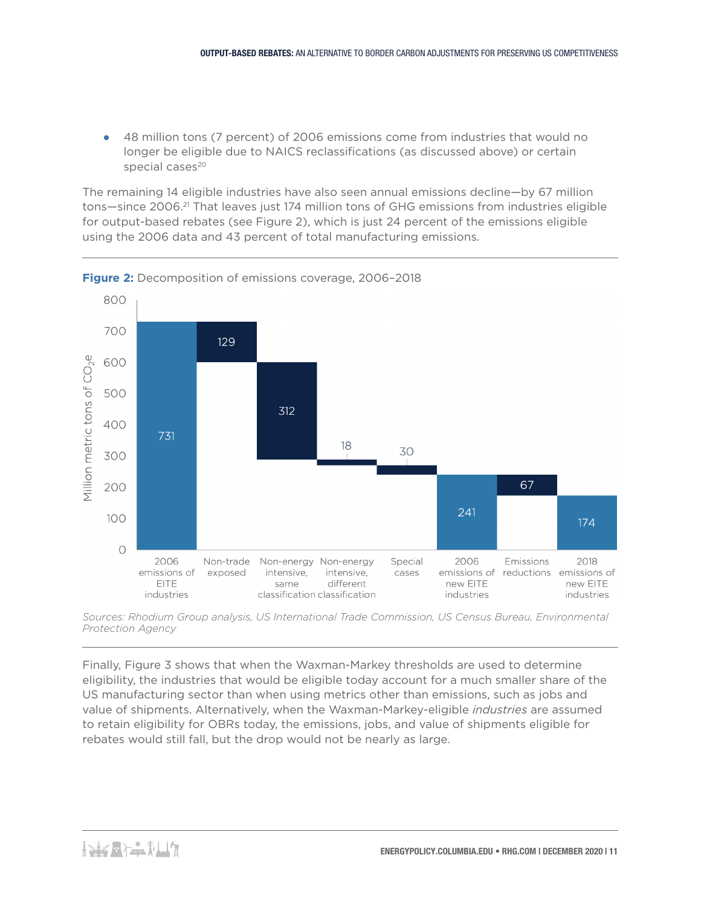● 48 million tons (7 percent) of 2006 emissions come from industries that would no longer be eligible due to NAICS reclassifications (as discussed above) or certain special cases<sup>20</sup>

The remaining 14 eligible industries have also seen annual emissions decline—by 67 million tons-since 2006.<sup>21</sup> That leaves just 174 million tons of GHG emissions from industries eligible for output-based rebates (see Figure 2), which is just 24 percent of the emissions eligible using the 2006 data and 43 percent of total manufacturing emissions.



**Figure 2:** Decomposition of emissions coverage, 2006–2018

Finally, Figure 3 shows that when the Waxman-Markey thresholds are used to determine eligibility, the industries that would be eligible today account for a much smaller share of the US manufacturing sector than when using metrics other than emissions, such as jobs and value of shipments. Alternatively, when the Waxman-Markey-eligible *industries* are assumed to retain eligibility for OBRs today, the emissions, jobs, and value of shipments eligible for rebates would still fall, but the drop would not be nearly as large.

*Sources: Rhodium Group analysis, US International Trade Commission, US Census Bureau, Environmental Protection Agency*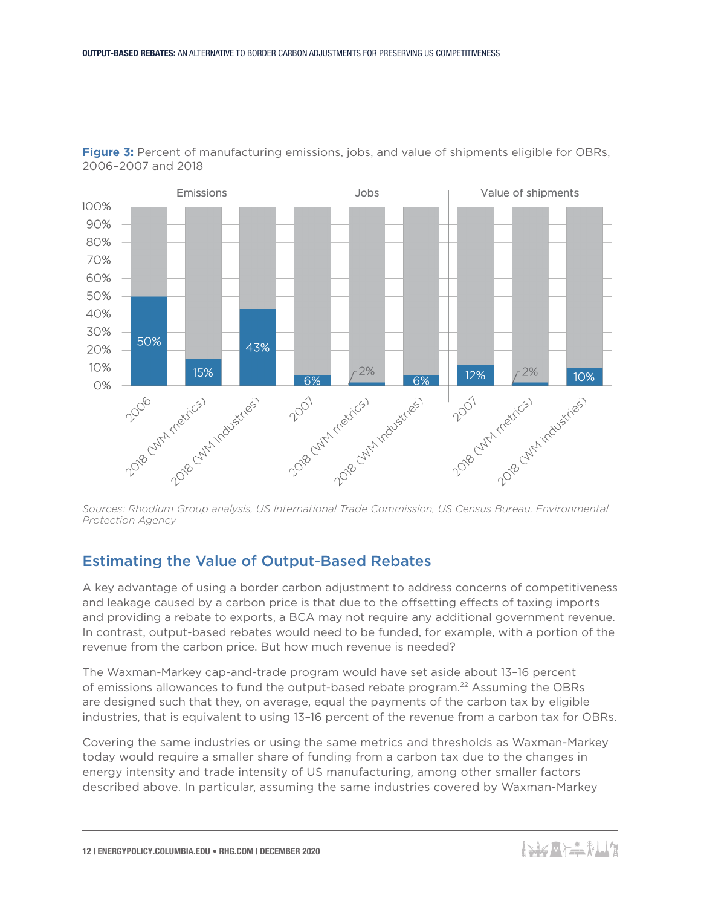

**Figure 3:** Percent of manufacturing emissions, jobs, and value of shipments eligible for OBRs, 2006–2007 and 2018

*Sources: Rhodium Group analysis, US International Trade Commission, US Census Bureau, Environmental Protection Agency*

## Estimating the Value of Output-Based Rebates

A key advantage of using a border carbon adjustment to address concerns of competitiveness and leakage caused by a carbon price is that due to the offsetting effects of taxing imports and providing a rebate to exports, a BCA may not require any additional government revenue. In contrast, output-based rebates would need to be funded, for example, with a portion of the revenue from the carbon price. But how much revenue is needed?

The Waxman-Markey cap-and-trade program would have set aside about 13–16 percent of emissions allowances to fund the output-based rebate program.22 Assuming the OBRs are designed such that they, on average, equal the payments of the carbon tax by eligible industries, that is equivalent to using 13–16 percent of the revenue from a carbon tax for OBRs.

Covering the same industries or using the same metrics and thresholds as Waxman-Markey today would require a smaller share of funding from a carbon tax due to the changes in energy intensity and trade intensity of US manufacturing, among other smaller factors described above. In particular, assuming the same industries covered by Waxman-Markey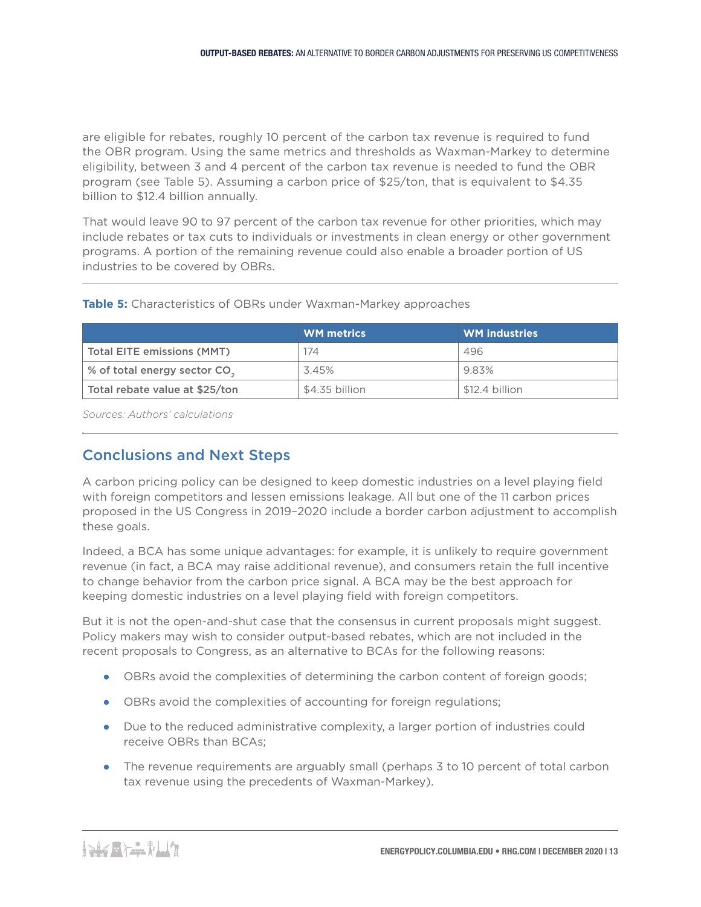are eligible for rebates, roughly 10 percent of the carbon tax revenue is required to fund the OBR program. Using the same metrics and thresholds as Waxman-Markey to determine eligibility, between 3 and 4 percent of the carbon tax revenue is needed to fund the OBR program (see Table 5). Assuming a carbon price of \$25/ton, that is equivalent to \$4.35 billion to \$12.4 billion annually.

That would leave 90 to 97 percent of the carbon tax revenue for other priorities, which may include rebates or tax cuts to individuals or investments in clean energy or other government programs. A portion of the remaining revenue could also enable a broader portion of US industries to be covered by OBRs.

|                                          | <b>WM</b> metrics | <b>WM</b> industries |
|------------------------------------------|-------------------|----------------------|
| <b>Total EITE emissions (MMT)</b>        | 174               | 496                  |
| % of total energy sector CO <sub>2</sub> | 3.45%             | 9.83%                |
| Total rebate value at \$25/ton           | \$4.35 billion    | \$12.4 billion       |

#### **Table 5:** Characteristics of OBRs under Waxman-Markey approaches

*Sources: Authors' calculations* 

*.*

## Conclusions and Next Steps

A carbon pricing policy can be designed to keep domestic industries on a level playing field with foreign competitors and lessen emissions leakage. All but one of the 11 carbon prices proposed in the US Congress in 2019–2020 include a border carbon adjustment to accomplish these goals.

Indeed, a BCA has some unique advantages: for example, it is unlikely to require government revenue (in fact, a BCA may raise additional revenue), and consumers retain the full incentive to change behavior from the carbon price signal. A BCA may be the best approach for keeping domestic industries on a level playing field with foreign competitors.

But it is not the open-and-shut case that the consensus in current proposals might suggest. Policy makers may wish to consider output-based rebates, which are not included in the recent proposals to Congress, as an alternative to BCAs for the following reasons:

- OBRs avoid the complexities of determining the carbon content of foreign goods;
- OBRs avoid the complexities of accounting for foreign regulations;
- Due to the reduced administrative complexity, a larger portion of industries could receive OBRs than BCAs;
- The revenue requirements are arguably small (perhaps 3 to 10 percent of total carbon tax revenue using the precedents of Waxman-Markey).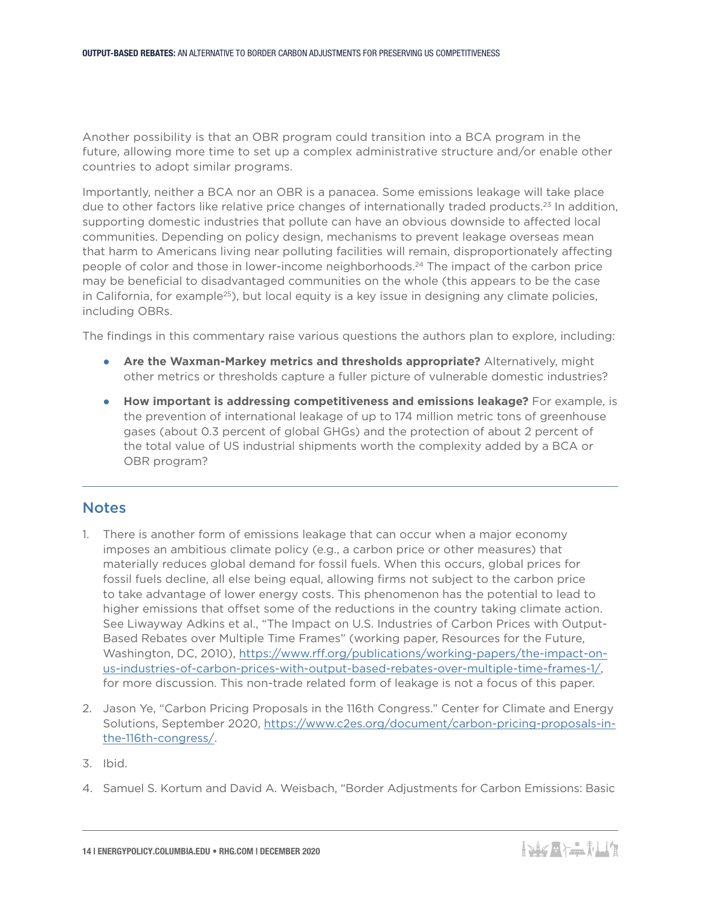Another possibility is that an OBR program could transition into a BCA program in the future, allowing more time to set up a complex administrative structure and/or enable other countries to adopt similar programs.

Importantly, neither a BCA nor an OBR is a panacea. Some emissions leakage will take place due to other factors like relative price changes of internationally traded products.<sup>23</sup> In addition, supporting domestic industries that pollute can have an obvious downside to affected local communities. Depending on policy design, mechanisms to prevent leakage overseas mean that harm to Americans living near polluting facilities will remain, disproportionately affecting people of color and those in lower-income neighborhoods.<sup>24</sup> The impact of the carbon price may be beneficial to disadvantaged communities on the whole (this appears to be the case in California, for example<sup>25</sup>), but local equity is a key issue in designing any climate policies, including OBRs.

The findings in this commentary raise various questions the authors plan to explore, including:

- **Are the Waxman-Markey metrics and thresholds appropriate?** Alternatively, might other metrics or thresholds capture a fuller picture of vulnerable domestic industries?
- **How important is addressing competitiveness and emissions leakage?** For example, is the prevention of international leakage of up to 174 million metric tons of greenhouse gases (about 0.3 percent of global GHGs) and the protection of about 2 percent of the total value of US industrial shipments worth the complexity added by a BCA or OBR program?

#### **Notes**

- 1. There is another form of emissions leakage that can occur when a major economy imposes an ambitious climate policy (e.g., a carbon price or other measures) that materially reduces global demand for fossil fuels. When this occurs, global prices for fossil fuels decline, all else being equal, allowing firms not subject to the carbon price to take advantage of lower energy costs. This phenomenon has the potential to lead to higher emissions that offset some of the reductions in the country taking climate action. See Liwayway Adkins et al., "The Impact on U.S. Industries of Carbon Prices with Output-Based Rebates over Multiple Time Frames" (working paper, Resources for the Future, Washington, DC, 2010), [https://www.rff.org/publications/working-papers/the-impact-on](https://www.rff.org/publications/working-papers/the-impact-on-us-industries-of-carbon-prices-with-output-based-rebates-over-multiple-time-frames-1/)[us-industries-of-carbon-prices-with-output-based-rebates-over-multiple-time-frames-1/,](https://www.rff.org/publications/working-papers/the-impact-on-us-industries-of-carbon-prices-with-output-based-rebates-over-multiple-time-frames-1/) for more discussion. This non-trade related form of leakage is not a focus of this paper.
- 2. Jason Ye, "Carbon Pricing Proposals in the 116th Congress." Center for Climate and Energy Solutions, September 2020, [https://www.c2es.org/document/carbon-pricing-proposals-in](https://www.c2es.org/document/carbon-pricing-proposals-in-the-116th-congress/)[the-116th-congress/](https://www.c2es.org/document/carbon-pricing-proposals-in-the-116th-congress/).
- 3. Ibid.
- 4. Samuel S. Kortum and David A. Weisbach, "Border Adjustments for Carbon Emissions: Basic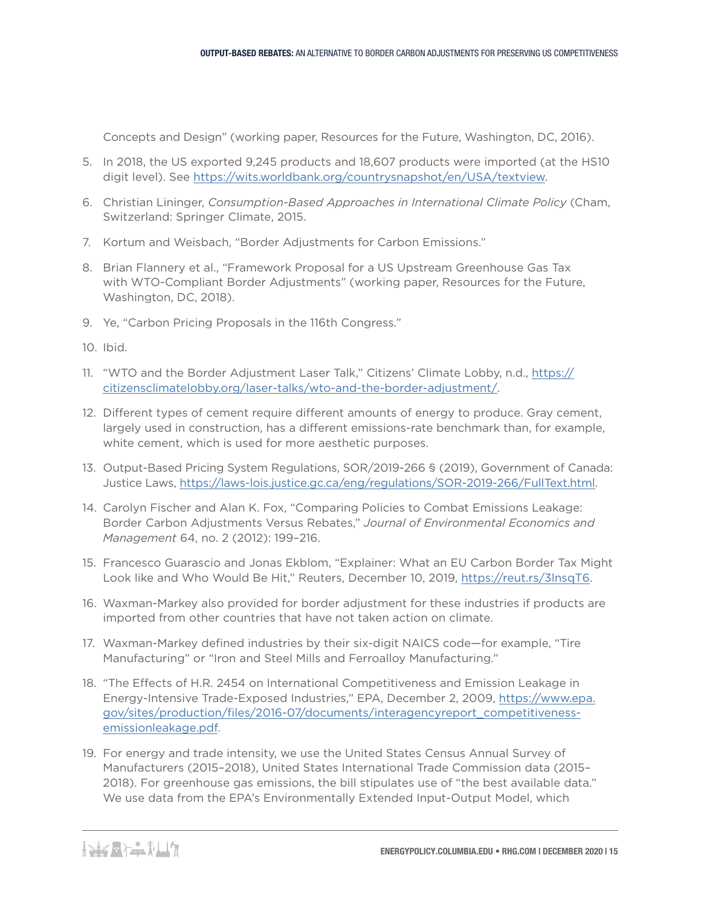Concepts and Design" (working paper, Resources for the Future, Washington, DC, 2016).

- 5. In 2018, the US exported 9,245 products and 18,607 products were imported (at the HS10 digit level). See<https://wits.worldbank.org/countrysnapshot/en/USA/textview>.
- 6. Christian Lininger, *Consumption-Based Approaches in International Climate Policy* (Cham, Switzerland: Springer Climate, 2015.
- 7. Kortum and Weisbach, "Border Adjustments for Carbon Emissions."
- 8. Brian Flannery et al., "Framework Proposal for a US Upstream Greenhouse Gas Tax with WTO-Compliant Border Adjustments" (working paper, Resources for the Future, Washington, DC, 2018).
- 9. Ye, "Carbon Pricing Proposals in the 116th Congress."
- 10. Ibid.
- 11. "WTO and the Border Adjustment Laser Talk," Citizens' Climate Lobby, n.d., [https://](https://citizensclimatelobby.org/laser-talks/wto-and-the-border-adjustment/) [citizensclimatelobby.org/laser-talks/wto-and-the-border-adjustment/.](https://citizensclimatelobby.org/laser-talks/wto-and-the-border-adjustment/)
- 12. Different types of cement require different amounts of energy to produce. Gray cement, largely used in construction, has a different emissions-rate benchmark than, for example, white cement, which is used for more aesthetic purposes.
- 13. Output-Based Pricing System Regulations, SOR/2019-266 § (2019), Government of Canada: Justice Laws, [https://laws-lois.justice.gc.ca/eng/regulations/SOR-2019-266/FullText.html.](https://laws-lois.justice.gc.ca/eng/regulations/SOR-2019-266/FullText.html)
- 14. Carolyn Fischer and Alan K. Fox, "Comparing Policies to Combat Emissions Leakage: Border Carbon Adjustments Versus Rebates," *Journal of Environmental Economics and Management* 64, no. 2 (2012): 199–216.
- 15. Francesco Guarascio and Jonas Ekblom, "Explainer: What an EU Carbon Border Tax Might Look like and Who Would Be Hit," Reuters, December 10, 2019,<https://reut.rs/3lnsqT6>.
- 16. Waxman-Markey also provided for border adjustment for these industries if products are imported from other countries that have not taken action on climate.
- 17. Waxman-Markey defined industries by their six-digit NAICS code—for example, "Tire Manufacturing" or "Iron and Steel Mills and Ferroalloy Manufacturing."
- 18. "The Effects of H.R. 2454 on International Competitiveness and Emission Leakage in Energy-Intensive Trade-Exposed Industries," EPA, December 2, 2009, [https://www.epa.](https://www.epa.gov/sites/production/files/2016-07/documents/interagencyreport_competitiveness-emissionleakage.pdf) [gov/sites/production/files/2016-07/documents/interagencyreport\\_competitiveness](https://www.epa.gov/sites/production/files/2016-07/documents/interagencyreport_competitiveness-emissionleakage.pdf)[emissionleakage.pdf](https://www.epa.gov/sites/production/files/2016-07/documents/interagencyreport_competitiveness-emissionleakage.pdf).
- 19. For energy and trade intensity, we use the United States Census Annual Survey of Manufacturers (2015–2018), United States International Trade Commission data (2015– 2018). For greenhouse gas emissions, the bill stipulates use of "the best available data." We use data from the EPA's Environmentally Extended Input-Output Model, which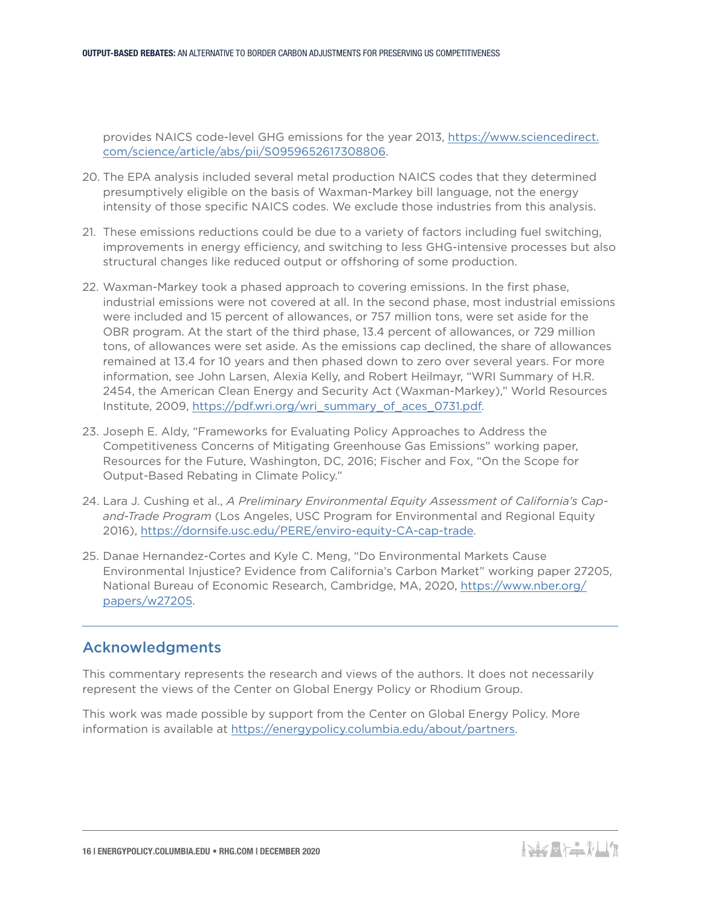provides NAICS code-level GHG emissions for the year 2013, [https://www.sciencedirect.](https://www.sciencedirect.com/science/article/abs/pii/S0959652617308806) [com/science/article/abs/pii/S0959652617308806](https://www.sciencedirect.com/science/article/abs/pii/S0959652617308806).

- 20. The EPA analysis included several metal production NAICS codes that they determined presumptively eligible on the basis of Waxman-Markey bill language, not the energy intensity of those specific NAICS codes. We exclude those industries from this analysis.
- 21. These emissions reductions could be due to a variety of factors including fuel switching, improvements in energy efficiency, and switching to less GHG-intensive processes but also structural changes like reduced output or offshoring of some production.
- 22. Waxman-Markey took a phased approach to covering emissions. In the first phase, industrial emissions were not covered at all. In the second phase, most industrial emissions were included and 15 percent of allowances, or 757 million tons, were set aside for the OBR program. At the start of the third phase, 13.4 percent of allowances, or 729 million tons, of allowances were set aside. As the emissions cap declined, the share of allowances remained at 13.4 for 10 years and then phased down to zero over several years. For more information, see John Larsen, Alexia Kelly, and Robert Heilmayr, "WRI Summary of H.R. 2454, the American Clean Energy and Security Act (Waxman-Markey)," World Resources Institute, 2009, [https://pdf.wri.org/wri\\_summary\\_of\\_aces\\_0731.pdf.](https://pdf.wri.org/wri_summary_of_aces_0731.pdf)
- 23. Joseph E. Aldy, "Frameworks for Evaluating Policy Approaches to Address the Competitiveness Concerns of Mitigating Greenhouse Gas Emissions" working paper, Resources for the Future, Washington, DC, 2016; Fischer and Fox, "On the Scope for Output-Based Rebating in Climate Policy."
- 24. Lara J. Cushing et al., *A Preliminary Environmental Equity Assessment of California's Capand-Trade Program* (Los Angeles, USC Program for Environmental and Regional Equity 2016), [https://dornsife.usc.edu/PERE/enviro-equity-CA-cap-trade.](https://dornsife.usc.edu/PERE/enviro-equity-CA-cap-trade)
- 25. Danae Hernandez-Cortes and Kyle C. Meng, "Do Environmental Markets Cause Environmental Injustice? Evidence from California's Carbon Market" working paper 27205, National Bureau of Economic Research, Cambridge, MA, 2020, [https://www.nber.org/](https://www.nber.org/papers/w27205) [papers/w27205](https://www.nber.org/papers/w27205).

## Acknowledgments

This commentary represents the research and views of the authors. It does not necessarily represent the views of the Center on Global Energy Policy or Rhodium Group.

This work was made possible by support from the Center on Global Energy Policy. More information is available at [https://energypolicy.columbia.edu/about/partners.](https://energypolicy.columbia.edu/about/partners)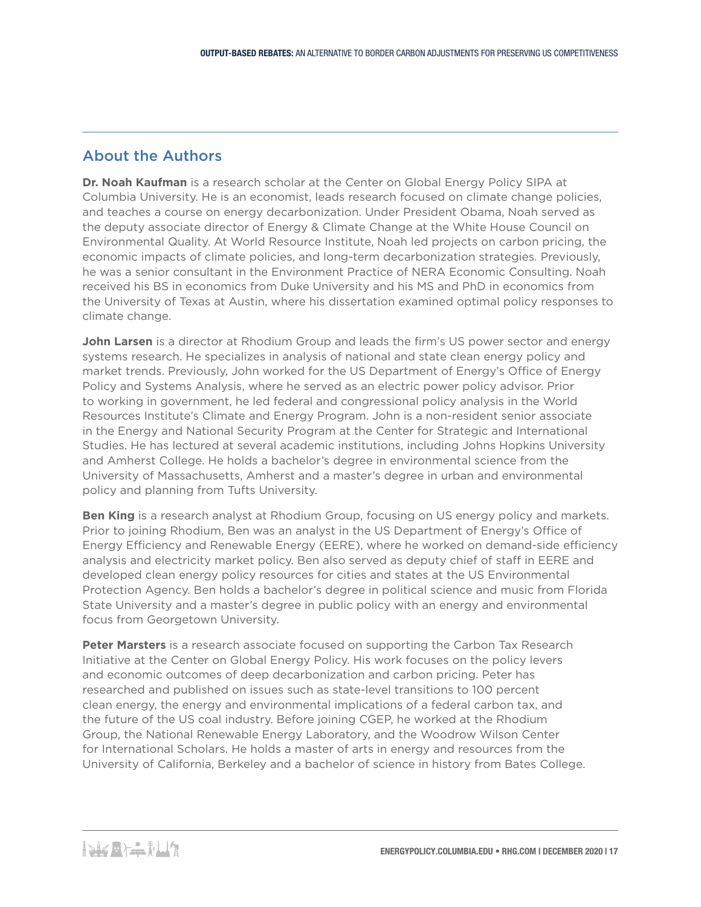# About the Authors

**Dr. Noah Kaufman** is a research scholar at the Center on Global Energy Policy SIPA at Columbia University. He is an economist, leads research focused on climate change policies, and teaches a course on energy decarbonization. Under President Obama, Noah served as the deputy associate director of Energy & Climate Change at the White House Council on Environmental Quality. At World Resource Institute, Noah led projects on carbon pricing, the economic impacts of climate policies, and long-term decarbonization strategies. Previously, he was a senior consultant in the Environment Practice of NERA Economic Consulting. Noah received his BS in economics from Duke University and his MS and PhD in economics from the University of Texas at Austin, where his dissertation examined optimal policy responses to climate change.

**John Larsen** is a director at Rhodium Group and leads the firm's US power sector and energy systems research. He specializes in analysis of national and state clean energy policy and market trends. Previously, John worked for the US Department of Energy's Office of Energy Policy and Systems Analysis, where he served as an electric power policy advisor. Prior to working in government, he led federal and congressional policy analysis in the World Resources Institute's Climate and Energy Program. John is a non-resident senior associate in the Energy and National Security Program at the Center for Strategic and International Studies. He has lectured at several academic institutions, including Johns Hopkins University and Amherst College. He holds a bachelor's degree in environmental science from the University of Massachusetts, Amherst and a master's degree in urban and environmental policy and planning from Tufts University.

**Ben King** is a research analyst at Rhodium Group, focusing on US energy policy and markets. Prior to joining Rhodium, Ben was an analyst in the US Department of Energy's Office of Energy Efficiency and Renewable Energy (EERE), where he worked on demand-side efficiency analysis and electricity market policy. Ben also served as deputy chief of staff in EERE and developed clean energy policy resources for cities and states at the US Environmental Protection Agency. Ben holds a bachelor's degree in political science and music from Florida State University and a master's degree in public policy with an energy and environmental focus from Georgetown University.

**Peter Marsters** is a research associate focused on supporting the Carbon Tax Research Initiative at the Center on Global Energy Policy. His work focuses on the policy levers and economic outcomes of deep decarbonization and carbon pricing. Peter has researched and published on issues such as state-level transitions to 100 percent clean energy, the energy and environmental implications of a federal carbon tax, and the future of the US coal industry. Before joining CGEP, he worked at the Rhodium Group, the National Renewable Energy Laboratory, and the Woodrow Wilson Center for International Scholars. He holds a master of arts in energy and resources from the University of California, Berkeley and a bachelor of science in history from Bates College.